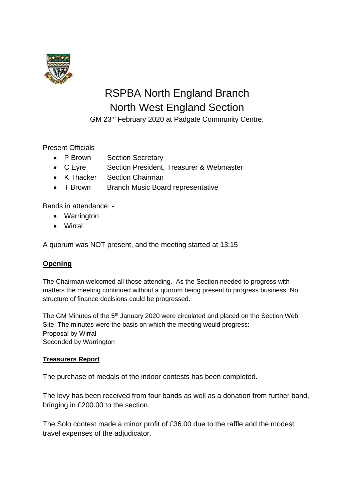

# RSPBA North England Branch North West England Section

GM 23rd February 2020 at Padgate Community Centre.

## Present Officials

- P Brown Section Secretary
- C Eyre Section President, Treasurer & Webmaster
- K Thacker Section Chairman
- T Brown Branch Music Board representative

Bands in attendance: -

- Warrington
- Wirral

A quorum was NOT present, and the meeting started at 13:15

# **Opening**

The Chairman welcomed all those attending. As the Section needed to progress with matters the meeting continued without a quorum being present to progress business. No structure of finance decisions could be progressed.

The GM Minutes of the 5<sup>th</sup> January 2020 were circulated and placed on the Section Web Site. The minutes were the basis on which the meeting would progress:- Proposal by Wirral Seconded by Warrington

## **Treasurers Report**

The purchase of medals of the indoor contests has been completed.

The levy has been received from four bands as well as a donation from further band, bringing in £200.00 to the section.

The Solo contest made a minor profit of £36.00 due to the raffle and the modest travel expenses of the adjudicator.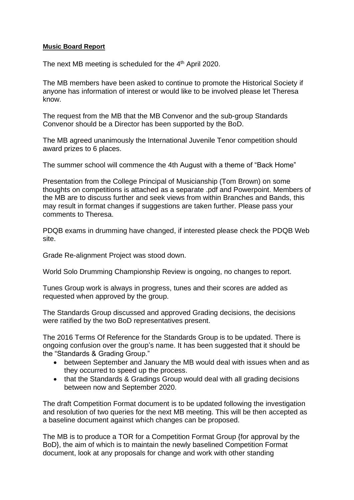#### **Music Board Report**

The next MB meeting is scheduled for the 4<sup>th</sup> April 2020.

The MB members have been asked to continue to promote the Historical Society if anyone has information of interest or would like to be involved please let Theresa know.

The request from the MB that the MB Convenor and the sub-group Standards Convenor should be a Director has been supported by the BoD.

The MB agreed unanimously the International Juvenile Tenor competition should award prizes to 6 places.

The summer school will commence the 4th August with a theme of "Back Home"

Presentation from the College Principal of Musicianship (Tom Brown) on some thoughts on competitions is attached as a separate .pdf and Powerpoint. Members of the MB are to discuss further and seek views from within Branches and Bands, this may result in format changes if suggestions are taken further. Please pass your comments to Theresa.

PDQB exams in drumming have changed, if interested please check the PDQB Web site.

Grade Re-alignment Project was stood down.

World Solo Drumming Championship Review is ongoing, no changes to report.

Tunes Group work is always in progress, tunes and their scores are added as requested when approved by the group.

The Standards Group discussed and approved Grading decisions, the decisions were ratified by the two BoD representatives present.

The 2016 Terms Of Reference for the Standards Group is to be updated. There is ongoing confusion over the group's name. It has been suggested that it should be the "Standards & Grading Group."

- between September and January the MB would deal with issues when and as they occurred to speed up the process.
- that the Standards & Gradings Group would deal with all grading decisions between now and September 2020.

The draft Competition Format document is to be updated following the investigation and resolution of two queries for the next MB meeting. This will be then accepted as a baseline document against which changes can be proposed.

The MB is to produce a TOR for a Competition Format Group {for approval by the BoD}, the aim of which is to maintain the newly baselined Competition Format document, look at any proposals for change and work with other standing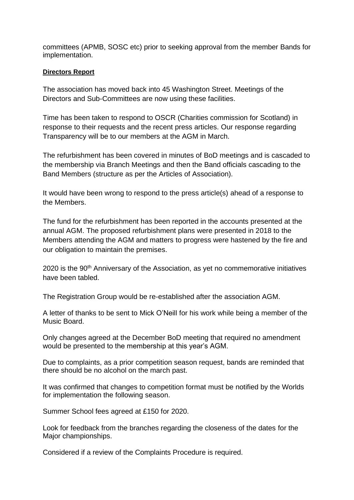committees (APMB, SOSC etc) prior to seeking approval from the member Bands for implementation.

## **Directors Report**

The association has moved back into 45 Washington Street. Meetings of the Directors and Sub-Committees are now using these facilities.

Time has been taken to respond to OSCR (Charities commission for Scotland) in response to their requests and the recent press articles. Our response regarding Transparency will be to our members at the AGM in March.

The refurbishment has been covered in minutes of BoD meetings and is cascaded to the membership via Branch Meetings and then the Band officials cascading to the Band Members (structure as per the Articles of Association).

It would have been wrong to respond to the press article(s) ahead of a response to the Members.

The fund for the refurbishment has been reported in the accounts presented at the annual AGM. The proposed refurbishment plans were presented in 2018 to the Members attending the AGM and matters to progress were hastened by the fire and our obligation to maintain the premises.

2020 is the 90<sup>th</sup> Anniversary of the Association, as yet no commemorative initiatives have been tabled.

The Registration Group would be re-established after the association AGM.

A letter of thanks to be sent to Mick O'Neill for his work while being a member of the Music Board.

Only changes agreed at the December BoD meeting that required no amendment would be presented to the membership at this year's AGM.

Due to complaints, as a prior competition season request, bands are reminded that there should be no alcohol on the march past.

It was confirmed that changes to competition format must be notified by the Worlds for implementation the following season.

Summer School fees agreed at £150 for 2020.

Look for feedback from the branches regarding the closeness of the dates for the Major championships.

Considered if a review of the Complaints Procedure is required.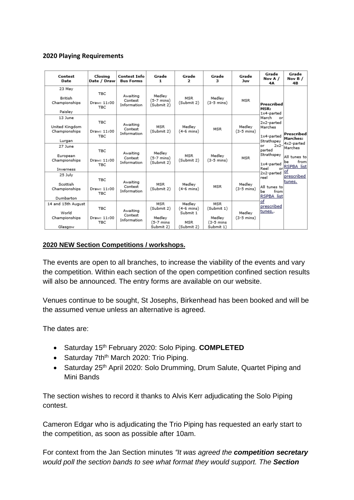## **2020 Playing Requirements**

| Contest<br>Date                                         | Closing<br>Date / Draw                  | <b>Contest Info</b><br><b>Bus Forms</b> | Grade<br>1                                                   | Grade<br>$\overline{ }$                                 | Grade<br>з                                                   | Grade<br>Juv                   | Grade<br>Nov A /<br>4A                                                                                                                                                                                                                                                            | Grade<br>Nov $B/$<br>4B                                                                                                |
|---------------------------------------------------------|-----------------------------------------|-----------------------------------------|--------------------------------------------------------------|---------------------------------------------------------|--------------------------------------------------------------|--------------------------------|-----------------------------------------------------------------------------------------------------------------------------------------------------------------------------------------------------------------------------------------------------------------------------------|------------------------------------------------------------------------------------------------------------------------|
| 23 May<br><b>British</b><br>Championships<br>Paisley    | <b>TBC</b><br>Draw: 11:00<br><b>TBC</b> | Awaiting<br>Contest<br>Information      | Medley<br>(5-7 mins)<br>(Submit 2)                           | <b>MSR</b><br>(Submit 2)                                | Medley<br>$(3-5 \text{ mins})$                               | <b>MSR</b>                     | Prescribed<br>MSR:<br>1x4-parted<br>March<br>or<br>2x2-parted<br>Marches<br>1x4-parted<br>Strathspey<br>$2x2 -$<br>0F.<br>parted<br>Strathspey<br>1x4-parted<br>Reel<br>orl<br>$2x2$ -parted of<br>reel<br>All tunes to<br>from<br>be.<br>RSPBA list<br>of<br>prescribed<br>tunes | Prescribed<br>Marches:<br>4x2-parted<br>Marches<br>All tunes to<br>from<br>lbе<br>RSPBA list<br>lprescribed<br>ltunes. |
| 13 June<br>United Kingdom<br>Championships<br>Lurgan    | <b>TBC</b><br>Draw: 11:00<br><b>TBC</b> | Awaiting<br>Contest<br>Information      | <b>MSR</b><br>(Submit 2)                                     | Medley<br>$(4-6 \text{ mins})$                          | <b>MSR</b>                                                   | Medlev<br>$(3-5 \text{ mins})$ |                                                                                                                                                                                                                                                                                   |                                                                                                                        |
| 27 June<br>European<br>Championships<br>Inverness       | <b>TBC</b><br>Draw: 11:00<br><b>TBC</b> | Awaiting<br>Contest<br>Information      | Medley<br>$(5-7 \text{ mins})$<br>(Submit 2)                 | MSR<br>(Submit 2)                                       | Medley<br>$(3-5 \text{ mins})$                               | <b>MSR</b>                     |                                                                                                                                                                                                                                                                                   |                                                                                                                        |
| 25 July<br>Scottish<br>Championships<br>Dumbarton       | TBC.<br>Draw: 11:00<br><b>TBC</b>       | Awaiting<br>Contest<br>Information      | <b>MSR</b><br>(Submit 2)                                     | Medley<br>(4-6 mins)                                    | <b>MSR</b>                                                   | Medley<br>$(3-5 \text{ mins})$ |                                                                                                                                                                                                                                                                                   |                                                                                                                        |
| 14 and 15th August<br>World<br>Championships<br>Glasgow | <b>TBC</b><br>Draw: 11:00<br><b>TBC</b> | Awaiting<br>Contest<br>Information      | <b>MSR</b><br>(Submit 2)<br>Medley<br>(5-7 mins<br>Submit 2) | Medley<br>$(4-6$ mins)<br>Submit 1<br>MSR<br>(Submit 2) | <b>MSR</b><br>(Submit 1)<br>Medley<br>(3-5 mins<br>Submit 1) | Medlev<br>$(3-5 \text{ mins})$ |                                                                                                                                                                                                                                                                                   |                                                                                                                        |

#### **2020 NEW Section Competitions / workshops.**

The events are open to all branches, to increase the viability of the events and vary the competition. Within each section of the open competition confined section results will also be announced. The entry forms are available on our website.

Venues continue to be sought, St Josephs, Birkenhead has been booked and will be the assumed venue unless an alternative is agreed.

The dates are:

- Saturday 15th February 2020: Solo Piping. **COMPLETED**
- Saturday 7th<sup>th</sup> March 2020: Trio Piping.
- Saturday 25<sup>th</sup> April 2020: Solo Drumming, Drum Salute, Quartet Piping and Mini Bands

The section wishes to record it thanks to Alvis Kerr adjudicating the Solo Piping contest.

Cameron Edgar who is adjudicating the Trio Piping has requested an early start to the competition, as soon as possible after 10am.

For context from the Jan Section minutes *"It was agreed the competition secretary would poll the section bands to see what format they would support. The Section*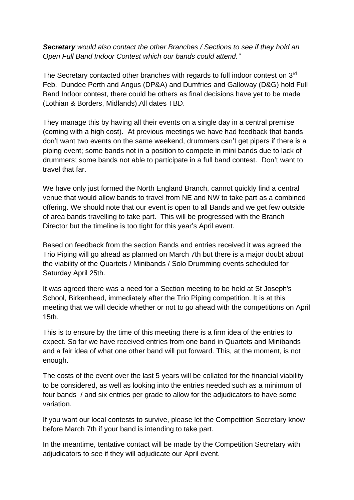*Secretary would also contact the other Branches / Sections to see if they hold an Open Full Band Indoor Contest which our bands could attend."*

The Secretary contacted other branches with regards to full indoor contest on  $3<sup>rd</sup>$ Feb. Dundee Perth and Angus (DP&A) and Dumfries and Galloway (D&G) hold Full Band Indoor contest, there could be others as final decisions have yet to be made (Lothian & Borders, Midlands).All dates TBD.

They manage this by having all their events on a single day in a central premise (coming with a high cost). At previous meetings we have had feedback that bands don't want two events on the same weekend, drummers can't get pipers if there is a piping event; some bands not in a position to compete in mini bands due to lack of drummers; some bands not able to participate in a full band contest. Don't want to travel that far.

We have only just formed the North England Branch, cannot quickly find a central venue that would allow bands to travel from NE and NW to take part as a combined offering. We should note that our event is open to all Bands and we get few outside of area bands travelling to take part. This will be progressed with the Branch Director but the timeline is too tight for this year's April event.

Based on feedback from the section Bands and entries received it was agreed the Trio Piping will go ahead as planned on March 7th but there is a major doubt about the viability of the Quartets / Minibands / Solo Drumming events scheduled for Saturday April 25th.

It was agreed there was a need for a Section meeting to be held at St Joseph's School, Birkenhead, immediately after the Trio Piping competition. It is at this meeting that we will decide whether or not to go ahead with the competitions on April 15th.

This is to ensure by the time of this meeting there is a firm idea of the entries to expect. So far we have received entries from one band in Quartets and Minibands and a fair idea of what one other band will put forward. This, at the moment, is not enough.

The costs of the event over the last 5 years will be collated for the financial viability to be considered, as well as looking into the entries needed such as a minimum of four bands / and six entries per grade to allow for the adjudicators to have some variation.

If you want our local contests to survive, please let the Competition Secretary know before March 7th if your band is intending to take part.

In the meantime, tentative contact will be made by the Competition Secretary with adjudicators to see if they will adjudicate our April event.